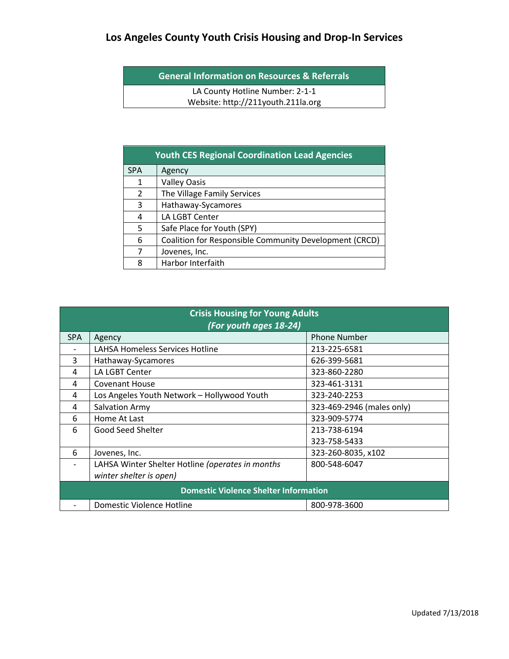**General Information on Resources & Referrals**

LA County Hotline Number: 2-1-1 Website: http://211youth.211la.org

| <b>Youth CES Regional Coordination Lead Agencies</b> |                                                        |  |  |  |
|------------------------------------------------------|--------------------------------------------------------|--|--|--|
| <b>SPA</b>                                           | Agency                                                 |  |  |  |
| $\mathbf{1}$                                         | <b>Valley Oasis</b>                                    |  |  |  |
| 2                                                    | The Village Family Services                            |  |  |  |
| 3                                                    | Hathaway-Sycamores                                     |  |  |  |
| 4                                                    | LA LGBT Center                                         |  |  |  |
| 5                                                    | Safe Place for Youth (SPY)                             |  |  |  |
| 6                                                    | Coalition for Responsible Community Development (CRCD) |  |  |  |
| 7                                                    | Jovenes, Inc.                                          |  |  |  |
| 8                                                    | Harbor Interfaith                                      |  |  |  |

| <b>Crisis Housing for Young Adults</b><br>(For youth ages 18-24) |                                                  |                           |  |  |  |
|------------------------------------------------------------------|--------------------------------------------------|---------------------------|--|--|--|
| <b>SPA</b>                                                       | Agency                                           | <b>Phone Number</b>       |  |  |  |
|                                                                  | <b>LAHSA Homeless Services Hotline</b>           | 213-225-6581              |  |  |  |
| 3                                                                | Hathaway-Sycamores                               | 626-399-5681              |  |  |  |
| 4                                                                | LA LGBT Center                                   | 323-860-2280              |  |  |  |
| 4                                                                | <b>Covenant House</b>                            | 323-461-3131              |  |  |  |
| 4                                                                | Los Angeles Youth Network - Hollywood Youth      | 323-240-2253              |  |  |  |
| 4                                                                | Salvation Army                                   | 323-469-2946 (males only) |  |  |  |
| 6                                                                | Home At Last                                     | 323-909-5774              |  |  |  |
| 6                                                                | Good Seed Shelter                                | 213-738-6194              |  |  |  |
|                                                                  |                                                  | 323-758-5433              |  |  |  |
| 6                                                                | Jovenes, Inc.                                    | 323-260-8035, x102        |  |  |  |
|                                                                  | LAHSA Winter Shelter Hotline (operates in months | 800-548-6047              |  |  |  |
|                                                                  | winter shelter is open)                          |                           |  |  |  |
| <b>Domestic Violence Shelter Information</b>                     |                                                  |                           |  |  |  |
|                                                                  | <b>Domestic Violence Hotline</b>                 | 800-978-3600              |  |  |  |